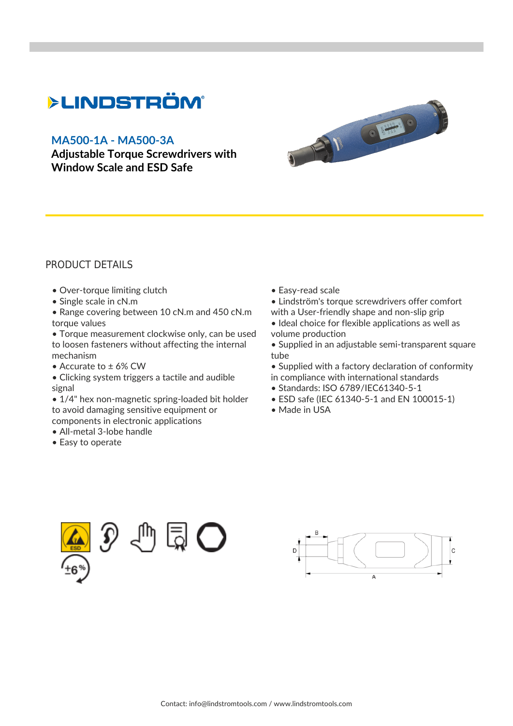## **>LINDSTRÖM®**

## **[MA500-1A - MA500-3A](https://www.lindstromtools.com/int_en/adjustable-torque-screwdrivers-with-window-scale-and-esd-safe-pb_ma500-1a---ma500-3a_.html)**

**[Adjustable Torque Screwdrivers with](https://www.lindstromtools.com/int_en/adjustable-torque-screwdrivers-with-window-scale-and-esd-safe-pb_ma500-1a---ma500-3a_.html) [Window Scale and ESD Safe](https://www.lindstromtools.com/int_en/adjustable-torque-screwdrivers-with-window-scale-and-esd-safe-pb_ma500-1a---ma500-3a_.html)**



## PRODUCT DETAILS

- Over-torque limiting clutch
- Single scale in cN.m
- Range covering between 10 cN.m and 450 cN.m torque values
- Torque measurement clockwise only, can be used to loosen fasteners without affecting the internal mechanism
- Accurate to ± 6% CW
- Clicking system triggers a tactile and audible signal
- 1/4" hex non-magnetic spring-loaded bit holder to avoid damaging sensitive equipment or components in electronic applications
- All-metal 3-lobe handle
- Easy to operate
- Easy-read scale
- Lindström's torque screwdrivers offer comfort
- with a User-friendly shape and non-slip grip
- Ideal choice for flexible applications as well as volume production
- Supplied in an adjustable semi-transparent square tube
- Supplied with a factory declaration of conformity in compliance with international standards
- Standards: ISO 6789/IEC61340-5-1
- ESD safe (IEC 61340-5-1 and EN 100015-1)
- Made in USA